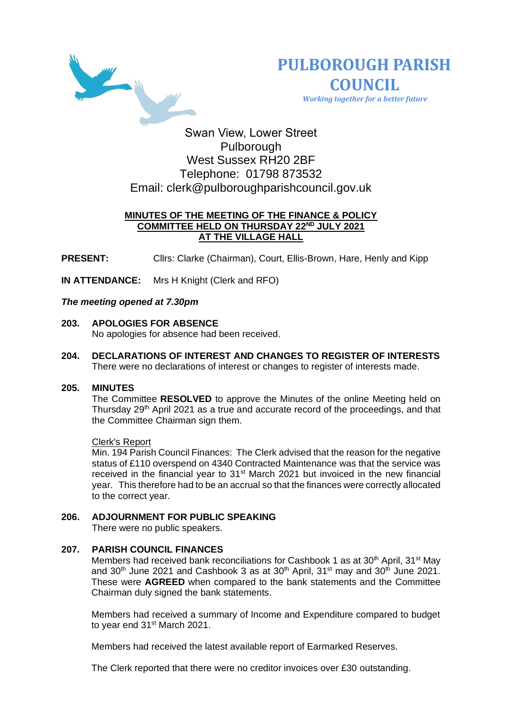



 *Working together for a better future*

# Swan View, Lower Street Pulborough West Sussex RH20 2BF Telephone: 01798 873532 Email: [clerk@pulboroughparishcouncil.gov.uk](mailto:clerk@pulboroughparishcouncil.gov.uk)

# **MINUTES OF THE MEETING OF THE FINANCE & POLICY COMMITTEE HELD ON THURSDAY 22ND JULY 2021 AT THE VILLAGE HALL**

**PRESENT:** Cllrs: Clarke (Chairman), Court, Ellis-Brown, Hare, Henly and Kipp

**IN ATTENDANCE:** Mrs H Knight (Clerk and RFO)

# *The meeting opened at 7.30pm*

- **203. APOLOGIES FOR ABSENCE**  No apologies for absence had been received.
- **204. DECLARATIONS OF INTEREST AND CHANGES TO REGISTER OF INTERESTS** There were no declarations of interest or changes to register of interests made.

#### **205. MINUTES**

The Committee **RESOLVED** to approve the Minutes of the online Meeting held on Thursday 29<sup>th</sup> April 2021 as a true and accurate record of the proceedings, and that the Committee Chairman sign them.

#### Clerk's Report

Min. 194 Parish Council Finances: The Clerk advised that the reason for the negative status of £110 overspend on 4340 Contracted Maintenance was that the service was received in the financial year to 31<sup>st</sup> March 2021 but invoiced in the new financial year. This therefore had to be an accrual so that the finances were correctly allocated to the correct year.

# **206. ADJOURNMENT FOR PUBLIC SPEAKING**

There were no public speakers.

# **207. PARISH COUNCIL FINANCES**

Members had received bank reconciliations for Cashbook 1 as at 30<sup>th</sup> April, 31<sup>st</sup> May and  $30<sup>th</sup>$  June 2021 and Cashbook 3 as at  $30<sup>th</sup>$  April,  $31<sup>st</sup>$  may and  $30<sup>th</sup>$  June 2021. These were **AGREED** when compared to the bank statements and the Committee Chairman duly signed the bank statements.

Members had received a summary of Income and Expenditure compared to budget to year end 31<sup>st</sup> March 2021.

Members had received the latest available report of Earmarked Reserves.

The Clerk reported that there were no creditor invoices over £30 outstanding.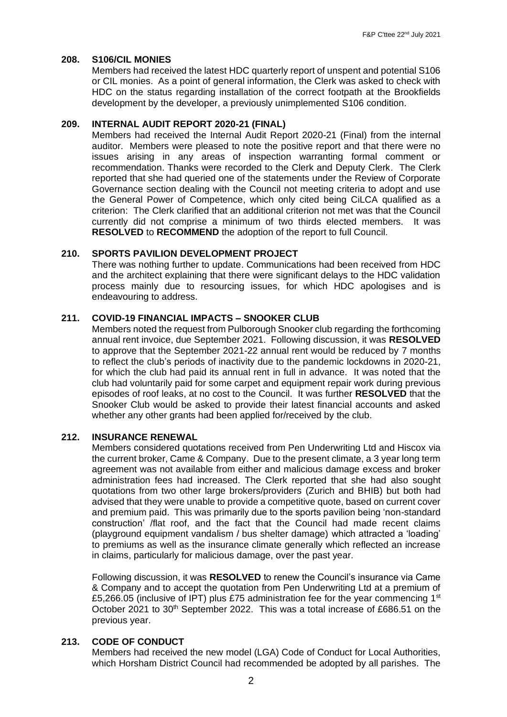#### **208. S106/CIL MONIES**

Members had received the latest HDC quarterly report of unspent and potential S106 or CIL monies. As a point of general information, the Clerk was asked to check with HDC on the status regarding installation of the correct footpath at the Brookfields development by the developer, a previously unimplemented S106 condition.

#### **209. INTERNAL AUDIT REPORT 2020-21 (FINAL)**

Members had received the Internal Audit Report 2020-21 (Final) from the internal auditor. Members were pleased to note the positive report and that there were no issues arising in any areas of inspection warranting formal comment or recommendation. Thanks were recorded to the Clerk and Deputy Clerk. The Clerk reported that she had queried one of the statements under the Review of Corporate Governance section dealing with the Council not meeting criteria to adopt and use the General Power of Competence, which only cited being CiLCA qualified as a criterion: The Clerk clarified that an additional criterion not met was that the Council currently did not comprise a minimum of two thirds elected members. It was **RESOLVED** to **RECOMMEND** the adoption of the report to full Council.

#### **210. SPORTS PAVILION DEVELOPMENT PROJECT**

There was nothing further to update. Communications had been received from HDC and the architect explaining that there were significant delays to the HDC validation process mainly due to resourcing issues, for which HDC apologises and is endeavouring to address.

#### **211. COVID-19 FINANCIAL IMPACTS – SNOOKER CLUB**

Members noted the request from Pulborough Snooker club regarding the forthcoming annual rent invoice, due September 2021. Following discussion, it was **RESOLVED** to approve that the September 2021-22 annual rent would be reduced by 7 months to reflect the club's periods of inactivity due to the pandemic lockdowns in 2020-21, for which the club had paid its annual rent in full in advance. It was noted that the club had voluntarily paid for some carpet and equipment repair work during previous episodes of roof leaks, at no cost to the Council. It was further **RESOLVED** that the Snooker Club would be asked to provide their latest financial accounts and asked whether any other grants had been applied for/received by the club.

#### **212. INSURANCE RENEWAL**

Members considered quotations received from Pen Underwriting Ltd and Hiscox via the current broker, Came & Company. Due to the present climate, a 3 year long term agreement was not available from either and malicious damage excess and broker administration fees had increased. The Clerk reported that she had also sought quotations from two other large brokers/providers (Zurich and BHIB) but both had advised that they were unable to provide a competitive quote, based on current cover and premium paid. This was primarily due to the sports pavilion being 'non-standard construction' /flat roof, and the fact that the Council had made recent claims (playground equipment vandalism / bus shelter damage) which attracted a 'loading' to premiums as well as the insurance climate generally which reflected an increase in claims, particularly for malicious damage, over the past year.

Following discussion, it was **RESOLVED** to renew the Council's insurance via Came & Company and to accept the quotation from Pen Underwriting Ltd at a premium of £5,266.05 (inclusive of IPT) plus £75 administration fee for the year commencing 1st October 2021 to 30<sup>th</sup> September 2022. This was a total increase of £686.51 on the previous year.

# **213. CODE OF CONDUCT**

Members had received the new model (LGA) Code of Conduct for Local Authorities, which Horsham District Council had recommended be adopted by all parishes. The